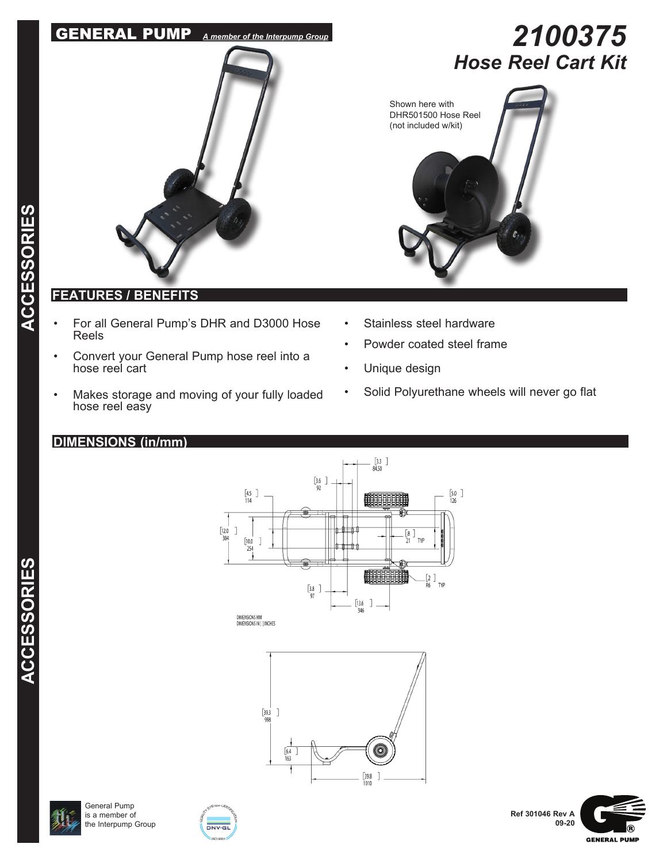# GENERAL PUMP *A member of the Interpump Group*



# **FEATURES / BENEFITS**

- For all General Pump's DHR and D3000 Hose Reels
- Convert your General Pump hose reel into a hose reel cart
- Makes storage and moving of your fully loaded hose reel easy

## **DIMENSIONS (in/mm)**







General Pump is a member of the Interpump Group







*2100375 Hose Reel Cart Kit*



- Stainless steel hardware
- Powder coated steel frame
- Unique design
- Solid Polyurethane wheels will never go flat

**ACCESSORIES**